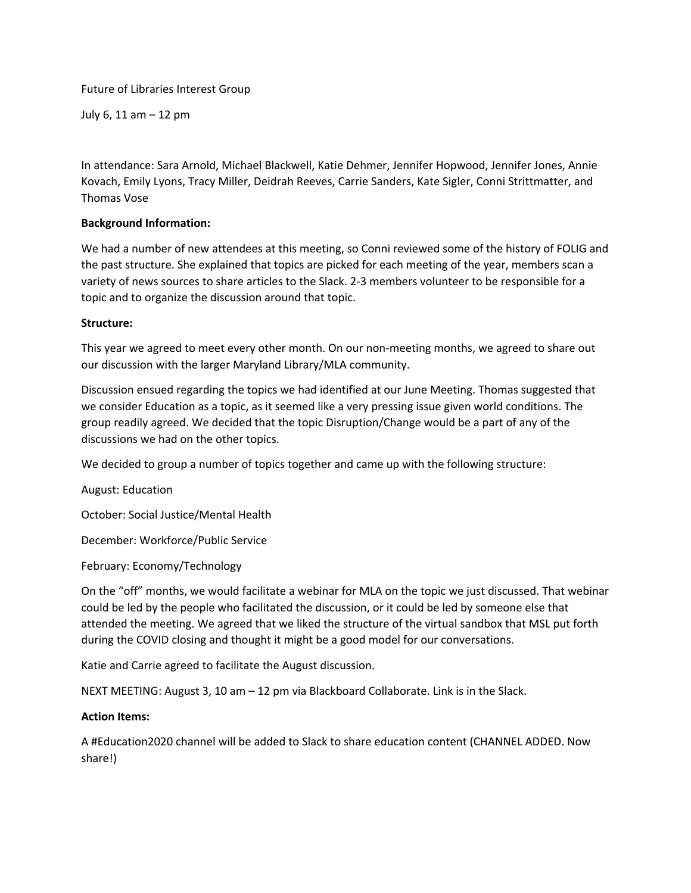Future of Libraries Interest Group

July 6, 11 am – 12 pm

In attendance: Sara Arnold, Michael Blackwell, Katie Dehmer, Jennifer Hopwood, Jennifer Jones, Annie Kovach, Emily Lyons, Tracy Miller, Deidrah Reeves, Carrie Sanders, Kate Sigler, Conni Strittmatter, and Thomas Vose

## **Background Information:**

We had a number of new attendees at this meeting, so Conni reviewed some of the history of FOLIG and the past structure. She explained that topics are picked for each meeting of the year, members scan a variety of news sources to share articles to the Slack. 2-3 members volunteer to be responsible for a topic and to organize the discussion around that topic.

## **Structure:**

This year we agreed to meet every other month. On our non-meeting months, we agreed to share out our discussion with the larger Maryland Library/MLA community.

Discussion ensued regarding the topics we had identified at our June Meeting. Thomas suggested that we consider Education as a topic, as it seemed like a very pressing issue given world conditions. The group readily agreed. We decided that the topic Disruption/Change would be a part of any of the discussions we had on the other topics.

We decided to group a number of topics together and came up with the following structure:

August: Education

October: Social Justice/Mental Health

December: Workforce/Public Service

February: Economy/Technology

On the "off" months, we would facilitate a webinar for MLA on the topic we just discussed. That webinar could be led by the people who facilitated the discussion, or it could be led by someone else that attended the meeting. We agreed that we liked the structure of the virtual sandbox that MSL put forth during the COVID closing and thought it might be a good model for our conversations.

Katie and Carrie agreed to facilitate the August discussion.

NEXT MEETING: August 3, 10 am – 12 pm via Blackboard Collaborate. Link is in the Slack.

## **Action Items:**

A #Education2020 channel will be added to Slack to share education content (CHANNEL ADDED. Now share!)